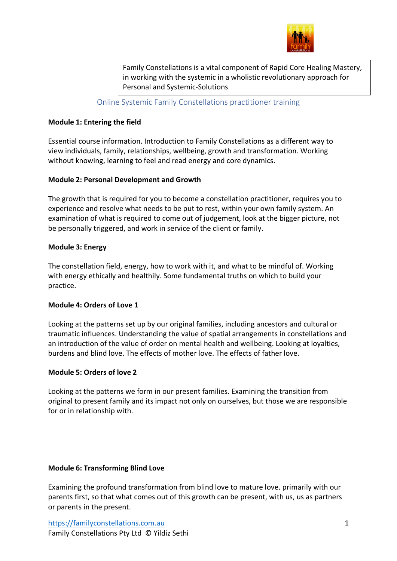

Family Constellations is a vital component of Rapid Core Healing Mastery, in working with the systemic in a wholistic revolutionary approach for Personal and Systemic-Solutions

Online Systemic Family Constellations practitioner training

## **Module 1: Entering the field**

Essential course information. Introduction to Family Constellations as a different way to view individuals, family, relationships, wellbeing, growth and transformation. Working without knowing, learning to feel and read energy and core dynamics.

## **Module 2: Personal Development and Growth**

The growth that is required for you to become a constellation practitioner, requires you to experience and resolve what needs to be put to rest, within your own family system. An examination of what is required to come out of judgement, look at the bigger picture, not be personally triggered, and work in service of the client or family.

## **Module 3: Energy**

The constellation field, energy, how to work with it, and what to be mindful of. Working with energy ethically and healthily. Some fundamental truths on which to build your practice.

## **Module 4: Orders of Love 1**

Looking at the patterns set up by our original families, including ancestors and cultural or traumatic influences. Understanding the value of spatial arrangements in constellations and an introduction of the value of order on mental health and wellbeing. Looking at loyalties, burdens and blind love. The effects of mother love. The effects of father love.

# **Module 5: Orders of love 2**

Looking at the patterns we form in our present families. Examining the transition from original to present family and its impact not only on ourselves, but those we are responsible for or in relationship with.

## **Module 6: Transforming Blind Love**

Examining the profound transformation from blind love to mature love. primarily with our parents first, so that what comes out of this growth can be present, with us, us as partners or parents in the present.